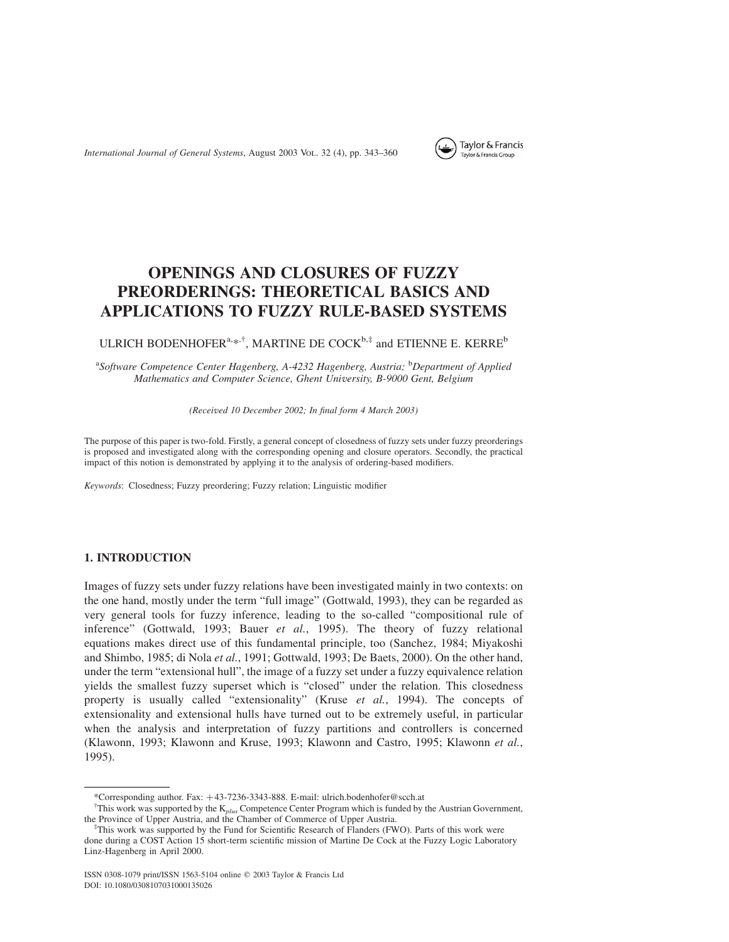

# OPENINGS AND CLOSURES OF FUZZY PREORDERINGS: THEORETICAL BASICS AND APPLICATIONS TO FUZZY RULE-BASED SYSTEMS

## ULRICH BODENHOFER<sup>a,\*,†</sup>, MARTINE DE COCK<sup>b,‡</sup> and ETIENNE E. KERRE<sup>b</sup>

<sup>a</sup>Software Competence Center Hagenberg, A-4232 Hagenberg, Austria; <sup>b</sup>Department of Applied Mathematics and Computer Science, Ghent University, B-9000 Gent, Belgium

(Received 10 December 2002; In final form 4 March 2003)

The purpose of this paper is two-fold. Firstly, a general concept of closedness of fuzzy sets under fuzzy preorderings is proposed and investigated along with the corresponding opening and closure operators. Secondly, the practical impact of this notion is demonstrated by applying it to the analysis of ordering-based modifiers.

Keywords: Closedness; Fuzzy preordering; Fuzzy relation; Linguistic modifier

## 1. INTRODUCTION

Images of fuzzy sets under fuzzy relations have been investigated mainly in two contexts: on the one hand, mostly under the term "full image" (Gottwald, 1993), they can be regarded as very general tools for fuzzy inference, leading to the so-called "compositional rule of inference" (Gottwald, 1993; Bauer et al., 1995). The theory of fuzzy relational equations makes direct use of this fundamental principle, too (Sanchez, 1984; Miyakoshi and Shimbo, 1985; di Nola et al., 1991; Gottwald, 1993; De Baets, 2000). On the other hand, under the term "extensional hull", the image of a fuzzy set under a fuzzy equivalence relation yields the smallest fuzzy superset which is "closed" under the relation. This closedness property is usually called "extensionality" (Kruse et al., 1994). The concepts of extensionality and extensional hulls have turned out to be extremely useful, in particular when the analysis and interpretation of fuzzy partitions and controllers is concerned (Klawonn, 1993; Klawonn and Kruse, 1993; Klawonn and Castro, 1995; Klawonn et al., 1995).

<sup>\*</sup>Corresponding author. Fax: þ43-7236-3343-888. E-mail: ulrich.bodenhofer@scch.at

<sup>&</sup>lt;sup>†</sup>This work was supported by the  $K_{plus}$  Competence Center Program which is funded by the Austrian Government, the Province of Upper Austria, and the Chamber of Commerce of Upper Austria.

This work was supported by the Fund for Scientific Research of Flanders (FWO). Parts of this work were done during a COST Action 15 short-term scientific mission of Martine De Cock at the Fuzzy Logic Laboratory Linz-Hagenberg in April 2000.

ISSN 0308-1079 print/ISSN 1563-5104 online q 2003 Taylor & Francis Ltd DOI: 10.1080/0308107031000135026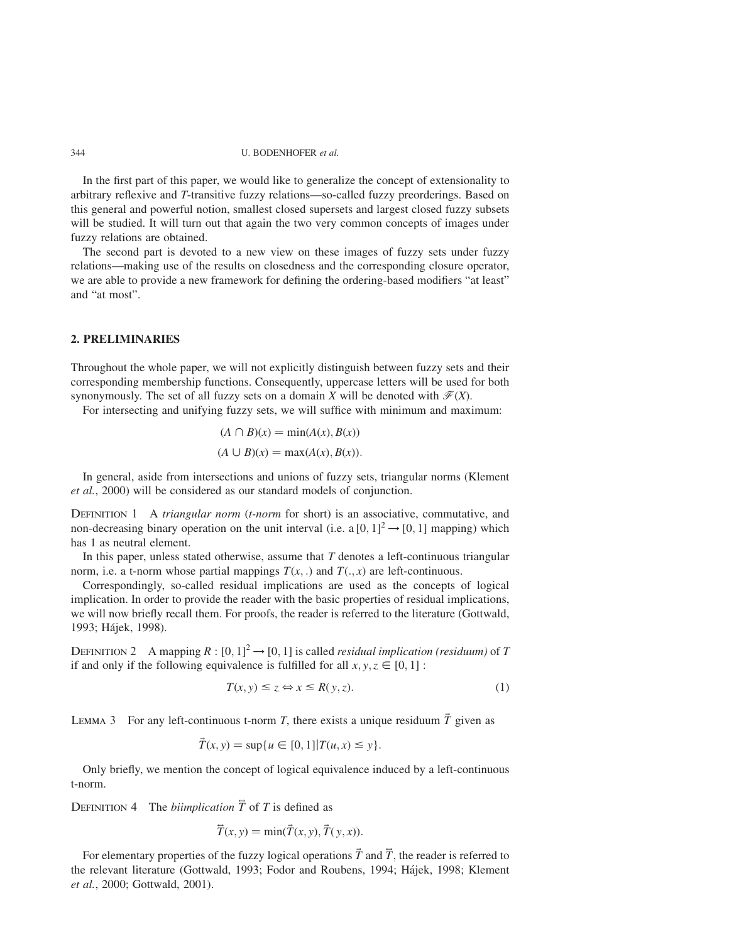#### 344 U. BODENHOFER et al.

In the first part of this paper, we would like to generalize the concept of extensionality to arbitrary reflexive and T-transitive fuzzy relations—so-called fuzzy preorderings. Based on this general and powerful notion, smallest closed supersets and largest closed fuzzy subsets will be studied. It will turn out that again the two very common concepts of images under fuzzy relations are obtained.

The second part is devoted to a new view on these images of fuzzy sets under fuzzy relations—making use of the results on closedness and the corresponding closure operator, we are able to provide a new framework for defining the ordering-based modifiers "at least" and "at most".

### 2. PRELIMINARIES

Throughout the whole paper, we will not explicitly distinguish between fuzzy sets and their corresponding membership functions. Consequently, uppercase letters will be used for both synonymously. The set of all fuzzy sets on a domain X will be denoted with  $\mathcal{F}(X)$ .

For intersecting and unifying fuzzy sets, we will suffice with minimum and maximum:

$$
(A \cap B)(x) = \min(A(x), B(x))
$$

$$
(A \cup B)(x) = \max(A(x), B(x)).
$$

In general, aside from intersections and unions of fuzzy sets, triangular norms (Klement et al., 2000) will be considered as our standard models of conjunction.

DEFINITION 1 A *triangular norm* (*t-norm* for short) is an associative, commutative, and non-decreasing binary operation on the unit interval (i.e. a  $[0, 1]^2 \rightarrow [0, 1]$  mapping) which has 1 as neutral element.

In this paper, unless stated otherwise, assume that  $T$  denotes a left-continuous triangular norm, i.e. a t-norm whose partial mappings  $T(x, \cdot)$  and  $T(\cdot, x)$  are left-continuous.

Correspondingly, so-called residual implications are used as the concepts of logical implication. In order to provide the reader with the basic properties of residual implications, we will now briefly recall them. For proofs, the reader is referred to the literature (Gottwald, 1993; Hájek, 1998).

DEFINITION 2 A mapping  $R : [0, 1]^2 \rightarrow [0, 1]$  is called *residual implication (residuum)* of T if and only if the following equivalence is fulfilled for all  $x, y, z \in [0, 1]$ :

$$
T(x, y) \le z \Leftrightarrow x \le R(y, z). \tag{1}
$$

LEMMA 3 For any left-continuous t-norm T, there exists a unique residuum  $\vec{T}$  given as

$$
\vec{T}(x, y) = \sup\{u \in [0, 1]|T(u, x) \le y\}.
$$

Only briefly, we mention the concept of logical equivalence induced by a left-continuous t-norm.

DEFINITION 4 The *biimplication*  $\overline{T}$  of T is defined as

$$
\overline{T}(x, y) = \min(\overline{T}(x, y), \overline{T}(y, x)).
$$

For elementary properties of the fuzzy logical operations  $\vec{T}$  and  $\vec{T}$ , the reader is referred to the relevant literature (Gottwald, 1993; Fodor and Roubens, 1994; Ha´jek, 1998; Klement et al., 2000; Gottwald, 2001).